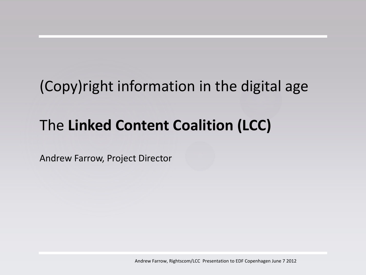# (Copy)right information in the digital age

# The **Linked Content Coalition (LCC)**

Andrew Farrow, Project Director

Andrew Farrow, Rightscom/LCC Presentation to EDF Copenhagen June 7 2012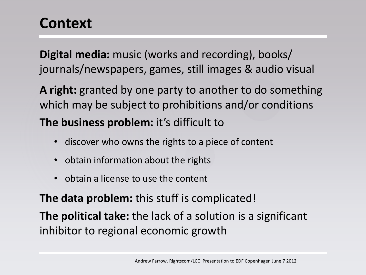### **Context**

**Digital media:** music (works and recording), books/ journals/newspapers, games, still images & audio visual

**A right:** granted by one party to another to do something which may be subject to prohibitions and/or conditions

**The business problem:** it's difficult to

- discover who owns the rights to a piece of content
- obtain information about the rights
- obtain a license to use the content

**The data problem:** this stuff is complicated!

**The political take:** the lack of a solution is a significant inhibitor to regional economic growth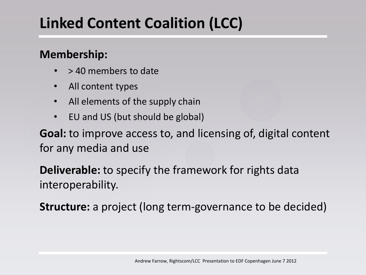# **Linked Content Coalition (LCC)**

#### **Membership:**

- > 40 members to date
- All content types
- All elements of the supply chain
- EU and US (but should be global)

**Goal:** to improve access to, and licensing of, digital content for any media and use

**Deliverable:** to specify the framework for rights data interoperability.

**Structure:** a project (long term-governance to be decided)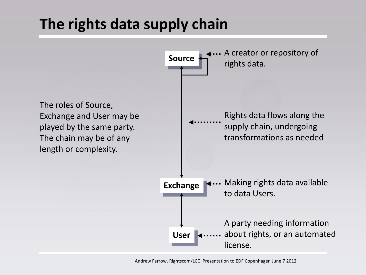### **The rights data supply chain**

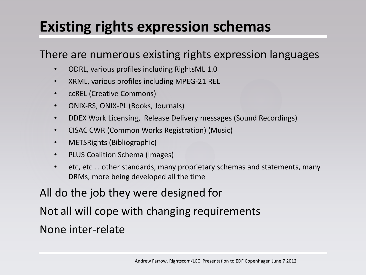### **Existing rights expression schemas**

#### There are numerous existing rights expression languages

- ODRL, various profiles including RightsML 1.0
- XRML, various profiles including MPEG-21 REL
- ccREL (Creative Commons)
- ONIX-RS, ONIX-PL (Books, Journals)
- DDEX Work Licensing, Release Delivery messages (Sound Recordings)
- CISAC CWR (Common Works Registration) (Music)
- METSRights (Bibliographic)
- PLUS Coalition Schema (Images)
- etc, etc … other standards, many proprietary schemas and statements, many DRMs, more being developed all the time

#### All do the job they were designed for

Not all will cope with changing requirements None inter-relate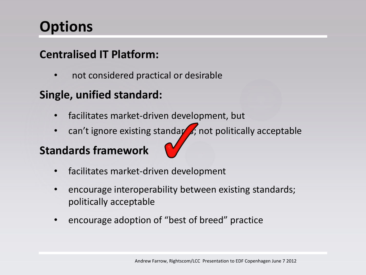## **Options**

#### **Centralised IT Platform:**

• not considered practical or desirable

#### **Single, unified standard:**

- facilitates market-driven development, but
- can't ignore existing standards; not politically acceptable

#### **Standards framework**



- facilitates market-driven development
- encourage interoperability between existing standards; politically acceptable
- encourage adoption of "best of breed" practice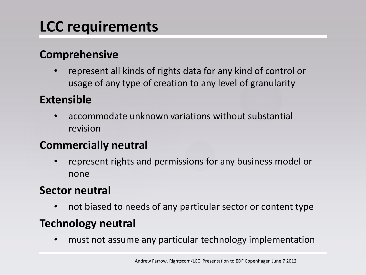# **LCC requirements**

#### **Comprehensive**

• represent all kinds of rights data for any kind of control or usage of any type of creation to any level of granularity

#### **Extensible**

• accommodate unknown variations without substantial revision

#### **Commercially neutral**

• represent rights and permissions for any business model or none

#### **Sector neutral**

• not biased to needs of any particular sector or content type

#### **Technology neutral**

• must not assume any particular technology implementation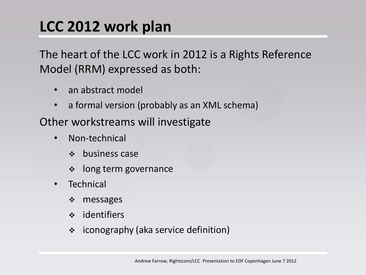### **LCC 2012 work plan**

The heart of the LCC work in 2012 is a Rights Reference Model (RRM) expressed as both:

- an abstract model
- a formal version (probably as an XML schema)

Other workstreams will investigate

- Non-technical
	- $\div$  business case
	- long term governance
- **Technical** 
	- messages
	- identifiers
	- iconography (aka service definition)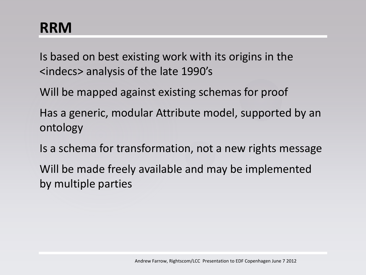### **RRM**

Is based on best existing work with its origins in the <indecs> analysis of the late 1990's

Will be mapped against existing schemas for proof

Has a generic, modular Attribute model, supported by an ontology

Is a schema for transformation, not a new rights message

Will be made freely available and may be implemented by multiple parties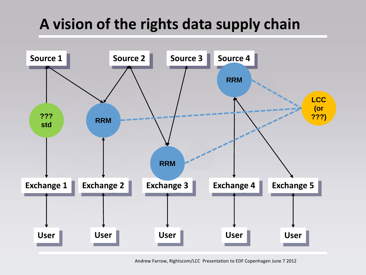## **A vision of the rights data supply chain**



Andrew Farrow, Rightscom/LCC Presentation to EDF Copenhagen June 7 2012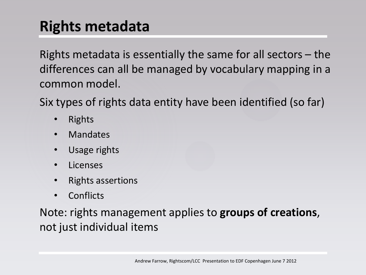### **Rights metadata**

Rights metadata is essentially the same for all sectors – the differences can all be managed by vocabulary mapping in a common model.

Six types of rights data entity have been identified (so far)

- Rights
- Mandates
- Usage rights
- Licenses
- Rights assertions
- **Conflicts**

Note: rights management applies to **groups of creations**, not just individual items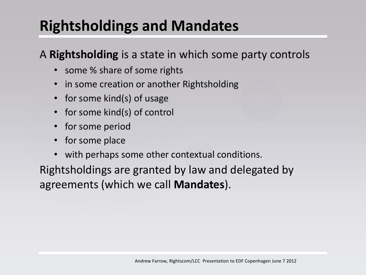## **Rightsholdings and Mandates**

#### A **Rightsholding** is a state in which some party controls

- some % share of some rights
- in some creation or another Rightsholding
- for some kind(s) of usage
- for some kind(s) of control
- for some period
- for some place
- with perhaps some other contextual conditions.

Rightsholdings are granted by law and delegated by agreements (which we call **Mandates**).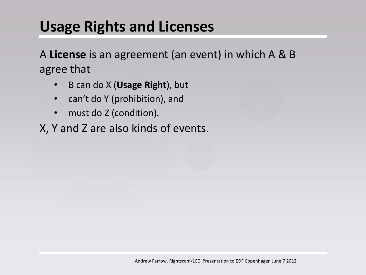### **Usage Rights and Licenses**

A **License** is an agreement (an event) in which A & B agree that

- B can do X (**Usage Right**), but
- can't do Y (prohibition), and
- must do Z (condition).
- X, Y and Z are also kinds of events.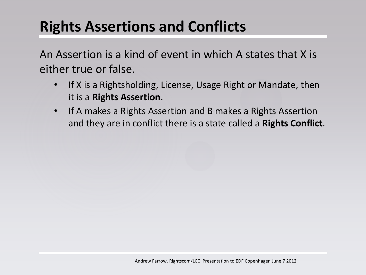# **Rights Assertions and Conflicts**

An Assertion is a kind of event in which A states that X is either true or false.

- If X is a Rightsholding, License, Usage Right or Mandate, then it is a **Rights Assertion**.
- If A makes a Rights Assertion and B makes a Rights Assertion and they are in conflict there is a state called a **Rights Conflict**.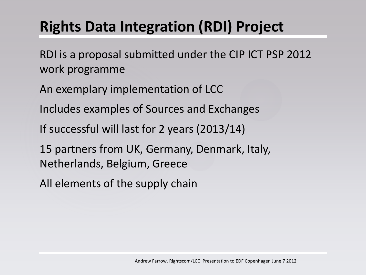# **Rights Data Integration (RDI) Project**

RDI is a proposal submitted under the CIP ICT PSP 2012 work programme

An exemplary implementation of LCC

Includes examples of Sources and Exchanges

If successful will last for 2 years (2013/14)

15 partners from UK, Germany, Denmark, Italy, Netherlands, Belgium, Greece

All elements of the supply chain